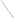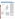# **Delaware River Basin Commission**



Basin Boundaries (USGS 6-Digit Hydrologic Unit)

For a copy of the Delaware River Basin Commission 1994 305(b) report, contact:

#### **Robert Kausch**

Delaware River Basin Commission P.O. Box 7360 West Trenton, NJ 08628-0360 (609) 883-9500, ext. 252

## **Surface Water Quality**

The Delaware River Basin covers portions of Delaware, New Jersey, New York, and Pennsylvania. The Delaware River system consists of a 207-mile freshwater segment, an 85-mile tidal reach, and the Delaware Bay. Nearly 8 million people reside in the Basin, which is also the home of numerous industrial facilities and the port facilities of Philadelphia, Camden, and Wilmington.

All of the riverine waters and 94% of the estuarine waters in the Basin have good water quality that fully supports aquatic life uses. Three percent of the riverine waters do not support fish consumption and 2% have fair quality that partially supports swimming. In estuarine waters, poor water quality impairs shellfishing in 29% of the surveyed waters. Low dissolved oxygen concentrations and toxic contaminants in sediment degrade portions of the lower tidal river and estuary. Fecal coliform bacteria and high pH values impair a few miles of the Delaware River. As of April 1994, fish consumption advisories were posted on about 6 miles of the Delaware River and 22 square miles of the tidal river, cautioning the public to restrict consumption of channel catfish, white perch, and American eels contaminated with PCBs and chlordane.

In general, water quality has improved since the 1992 305(b) assessment period. Tidal river oxygen levels were higher during the critical summer period, residues of toxic chemicals in fish and shellfish declined, and populations of important fish species (such as striped bass and American shad) increased during the 1994 assessment period.

#### **Programs to Restore Water Quality**

For many years, the Delaware River Basin Commission and the surrounding States have implemented an aggressive program to reduce